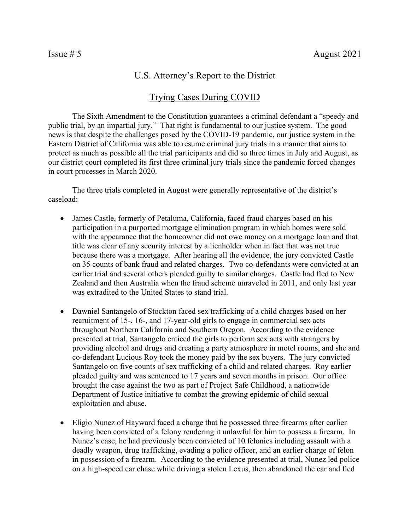## U.S. Attorney's Report to the District

## Trying Cases During COVID

The Sixth Amendment to the Constitution guarantees a criminal defendant a "speedy and public trial, by an impartial jury." That right is fundamental to our justice system. The good news is that despite the challenges posed by the COVID-19 pandemic, our justice system in the Eastern District of California was able to resume criminal jury trials in a manner that aims to protect as much as possible all the trial participants and did so three times in July and August, as our district court completed its first three criminal jury trials since the pandemic forced changes in court processes in March 2020.

The three trials completed in August were generally representative of the district's caseload:

- James Castle, formerly of Petaluma, California, faced fraud charges based on his participation in a purported mortgage elimination program in which homes were sold with the appearance that the homeowner did not owe money on a mortgage loan and that title was clear of any security interest by a lienholder when in fact that was not true because there was a mortgage. After hearing all the evidence, the jury convicted Castle on 35 counts of bank fraud and related charges. Two co-defendants were convicted at an earlier trial and several others pleaded guilty to similar charges. Castle had fled to New Zealand and then Australia when the fraud scheme unraveled in 2011, and only last year was extradited to the United States to stand trial.
- Dawniel Santangelo of Stockton faced sex trafficking of a child charges based on her recruitment of 15-, 16-, and 17-year-old girls to engage in commercial sex acts throughout Northern California and Southern Oregon. According to the evidence presented at trial, Santangelo enticed the girls to perform sex acts with strangers by providing alcohol and drugs and creating a party atmosphere in motel rooms, and she and co-defendant Lucious Roy took the money paid by the sex buyers. The jury convicted Santangelo on five counts of sex trafficking of a child and related charges. Roy earlier pleaded guilty and was sentenced to 17 years and seven months in prison. Our office brought the case against the two as part of Project Safe Childhood, a nationwide Department of Justice initiative to combat the growing epidemic of child sexual exploitation and abuse.
- Eligio Nunez of Hayward faced a charge that he possessed three firearms after earlier having been convicted of a felony rendering it unlawful for him to possess a firearm. In Nunez's case, he had previously been convicted of 10 felonies including assault with a deadly weapon, drug trafficking, evading a police officer, and an earlier charge of felon in possession of a firearm. According to the evidence presented at trial, Nunez led police on a high-speed car chase while driving a stolen Lexus, then abandoned the car and fled